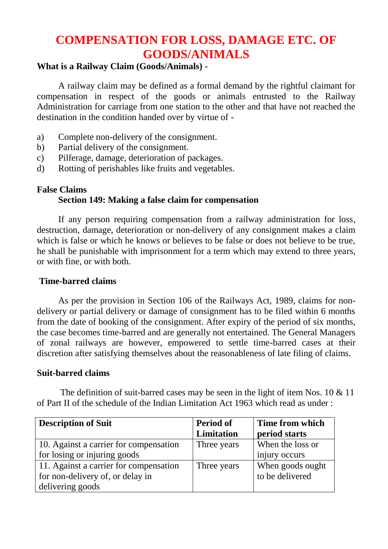# **COMPENSATION FOR LOSS, DAMAGE ETC. OF GOODS/ANIMALS**

## **What is a Railway Claim (Goods/Animals) -**

A railway claim may be defined as a formal demand by the rightful claimant for compensation in respect of the goods or animals entrusted to the Railway Administration for carriage from one station to the other and that have not reached the destination in the condition handed over by virtue of -

- a) Complete non-delivery of the consignment.
- b) Partial delivery of the consignment.
- c) Pilferage, damage, deterioration of packages.
- d) Rotting of perishables like fruits and vegetables.

## **False Claims**

# **Section 149: Making a false claim for compensation**

If any person requiring compensation from a railway administration for loss, destruction, damage, deterioration or non-delivery of any consignment makes a claim which is false or which he knows or believes to be false or does not believe to be true, he shall be punishable with imprisonment for a term which may extend to three years, or with fine, or with both.

#### **Time-barred claims**

As per the provision in Section 106 of the Railways Act, 1989, claims for nondelivery or partial delivery or damage of consignment has to be filed within 6 months from the date of booking of the consignment. After expiry of the period of six months, the case becomes time-barred and are generally not entertained. The General Managers of zonal railways are however, empowered to settle time-barred cases at their discretion after satisfying themselves about the reasonableness of late filing of claims.

#### **Suit-barred claims**

The definition of suit-barred cases may be seen in the light of item Nos. 10 & 11 of Part II of the schedule of the Indian Limitation Act 1963 which read as under :

| <b>Description of Suit</b>             | <b>Period of</b> | Time from which  |
|----------------------------------------|------------------|------------------|
|                                        | Limitation       | period starts    |
| 10. Against a carrier for compensation | Three years      | When the loss or |
| for losing or injuring goods           |                  | injury occurs    |
| 11. Against a carrier for compensation | Three years      | When goods ought |
| for non-delivery of, or delay in       |                  | to be delivered  |
| delivering goods                       |                  |                  |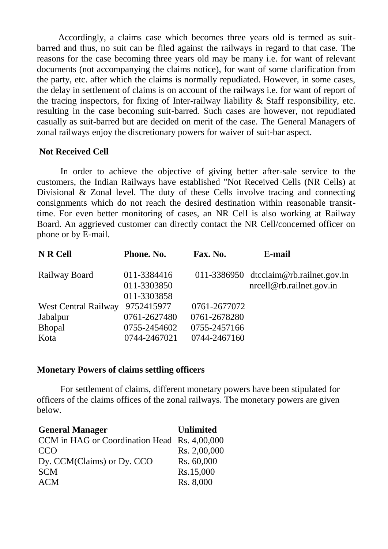Accordingly, a claims case which becomes three years old is termed as suitbarred and thus, no suit can be filed against the railways in regard to that case. The reasons for the case becoming three years old may be many i.e. for want of relevant documents (not accompanying the claims notice), for want of some clarification from the party, etc. after which the claims is normally repudiated. However, in some cases, the delay in settlement of claims is on account of the railways i.e. for want of report of the tracing inspectors, for fixing of Inter-railway liability & Staff responsibility, etc. resulting in the case becoming suit-barred. Such cases are however, not repudiated casually as suit-barred but are decided on merit of the case. The General Managers of zonal railways enjoy the discretionary powers for waiver of suit-bar aspect.

#### **Not Received Cell**

In order to achieve the objective of giving better after-sale service to the customers, the Indian Railways have established "Not Received Cells (NR Cells) at Divisional & Zonal level. The duty of these Cells involve tracing and connecting consignments which do not reach the desired destination within reasonable transittime. For even better monitoring of cases, an NR Cell is also working at Railway Board. An aggrieved customer can directly contact the NR Cell/concerned officer on phone or by E-mail.

| N R Cell                    | Phone. No.                                | Fax. No.     | E-mail                                                                  |
|-----------------------------|-------------------------------------------|--------------|-------------------------------------------------------------------------|
| Railway Board               | 011-3384416<br>011-3303850<br>011-3303858 |              | 011-3386950 $dtcclaim@rbro.railnet.gov.in$<br>nreell@rb. rainlet.gov.in |
| <b>West Central Railway</b> | 9752415977                                | 0761-2677072 |                                                                         |
| Jabalpur                    | 0761-2627480                              | 0761-2678280 |                                                                         |
| Bhopal                      | 0755-2454602                              | 0755-2457166 |                                                                         |
| Kota                        | 0744-2467021                              | 0744-2467160 |                                                                         |

#### **Monetary Powers of claims settling officers**

For settlement of claims, different monetary powers have been stipulated for officers of the claims offices of the zonal railways. The monetary powers are given below.

| <b>General Manager</b>                       | <b>Unlimited</b> |
|----------------------------------------------|------------------|
| CCM in HAG or Coordination Head Rs. 4,00,000 |                  |
| CCO                                          | Rs. 2,00,000     |
| Dy. CCM(Claims) or Dy. CCO                   | Rs. 60,000       |
| <b>SCM</b>                                   | Rs.15,000        |
| <b>ACM</b>                                   | Rs. 8,000        |